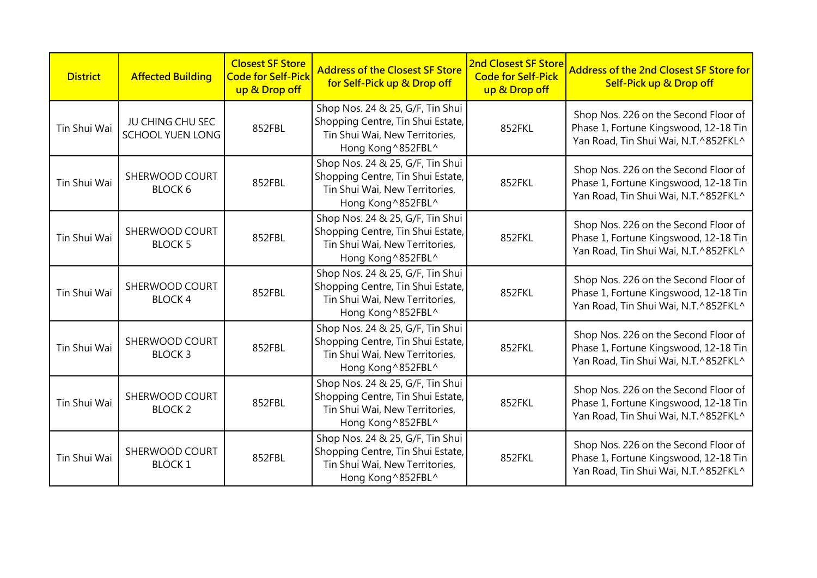| <b>District</b> | <b>Affected Building</b>                    | <b>Closest SF Store</b><br><b>Code for Self-Pick</b><br>up & Drop off | <b>Address of the Closest SF Store</b><br>for Self-Pick up & Drop off                                                         | <b>2nd Closest SF Store</b><br><b>Code for Self-Pick</b><br>up & Drop off | <b>Address of the 2nd Closest SF Store for</b><br>Self-Pick up & Drop off                                             |
|-----------------|---------------------------------------------|-----------------------------------------------------------------------|-------------------------------------------------------------------------------------------------------------------------------|---------------------------------------------------------------------------|-----------------------------------------------------------------------------------------------------------------------|
| Tin Shui Wai    | JU CHING CHU SEC<br><b>SCHOOL YUEN LONG</b> | 852FBL                                                                | Shop Nos. 24 & 25, G/F, Tin Shui<br>Shopping Centre, Tin Shui Estate,<br>Tin Shui Wai, New Territories,<br>Hong Kong ^852FBL^ | 852FKL                                                                    | Shop Nos. 226 on the Second Floor of<br>Phase 1, Fortune Kingswood, 12-18 Tin<br>Yan Road, Tin Shui Wai, N.T.^852FKL^ |
| Tin Shui Wai    | SHERWOOD COURT<br><b>BLOCK 6</b>            | 852FBL                                                                | Shop Nos. 24 & 25, G/F, Tin Shui<br>Shopping Centre, Tin Shui Estate,<br>Tin Shui Wai, New Territories,<br>Hong Kong ^852FBL^ | 852FKL                                                                    | Shop Nos. 226 on the Second Floor of<br>Phase 1, Fortune Kingswood, 12-18 Tin<br>Yan Road, Tin Shui Wai, N.T.^852FKL^ |
| Tin Shui Wai    | SHERWOOD COURT<br><b>BLOCK 5</b>            | 852FBL                                                                | Shop Nos. 24 & 25, G/F, Tin Shui<br>Shopping Centre, Tin Shui Estate,<br>Tin Shui Wai, New Territories,<br>Hong Kong ^852FBL^ | 852FKL                                                                    | Shop Nos. 226 on the Second Floor of<br>Phase 1, Fortune Kingswood, 12-18 Tin<br>Yan Road, Tin Shui Wai, N.T.^852FKL^ |
| Tin Shui Wai    | SHERWOOD COURT<br><b>BLOCK4</b>             | 852FBL                                                                | Shop Nos. 24 & 25, G/F, Tin Shui<br>Shopping Centre, Tin Shui Estate,<br>Tin Shui Wai, New Territories,<br>Hong Kong ^852FBL^ | 852FKL                                                                    | Shop Nos. 226 on the Second Floor of<br>Phase 1, Fortune Kingswood, 12-18 Tin<br>Yan Road, Tin Shui Wai, N.T.^852FKL^ |
| Tin Shui Wai    | SHERWOOD COURT<br><b>BLOCK3</b>             | 852FBL                                                                | Shop Nos. 24 & 25, G/F, Tin Shui<br>Shopping Centre, Tin Shui Estate,<br>Tin Shui Wai, New Territories,<br>Hong Kong ^852FBL^ | 852FKL                                                                    | Shop Nos. 226 on the Second Floor of<br>Phase 1, Fortune Kingswood, 12-18 Tin<br>Yan Road, Tin Shui Wai, N.T.^852FKL^ |
| Tin Shui Wai    | SHERWOOD COURT<br><b>BLOCK 2</b>            | 852FBL                                                                | Shop Nos. 24 & 25, G/F, Tin Shui<br>Shopping Centre, Tin Shui Estate,<br>Tin Shui Wai, New Territories,<br>Hong Kong ^852FBL^ | 852FKL                                                                    | Shop Nos. 226 on the Second Floor of<br>Phase 1, Fortune Kingswood, 12-18 Tin<br>Yan Road, Tin Shui Wai, N.T.^852FKL^ |
| Tin Shui Wai    | SHERWOOD COURT<br><b>BLOCK1</b>             | 852FBL                                                                | Shop Nos. 24 & 25, G/F, Tin Shui<br>Shopping Centre, Tin Shui Estate,<br>Tin Shui Wai, New Territories,<br>Hong Kong ^852FBL^ | 852FKL                                                                    | Shop Nos. 226 on the Second Floor of<br>Phase 1, Fortune Kingswood, 12-18 Tin<br>Yan Road, Tin Shui Wai, N.T.^852FKL^ |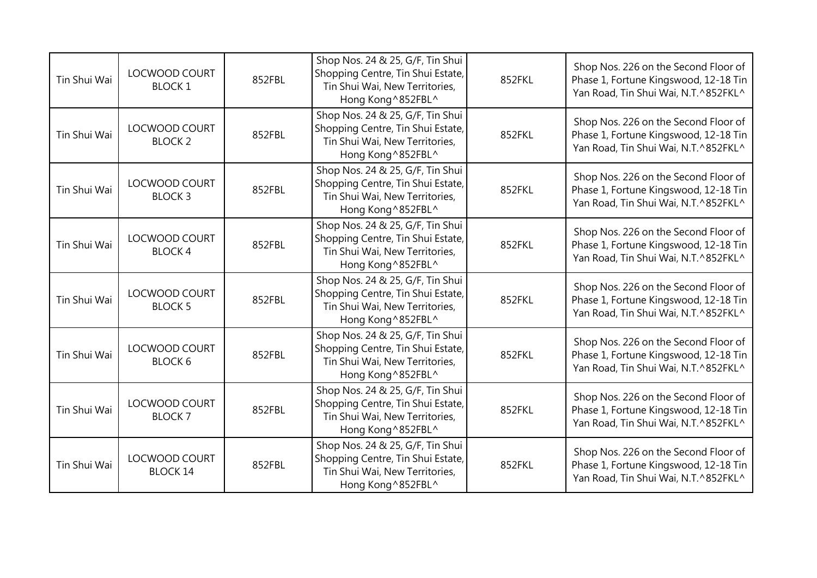| Tin Shui Wai | <b>LOCWOOD COURT</b><br><b>BLOCK1</b>  | 852FBL | Shop Nos. 24 & 25, G/F, Tin Shui<br>Shopping Centre, Tin Shui Estate,<br>Tin Shui Wai, New Territories,<br>Hong Kong ^852FBL^ | 852FKL | Shop Nos. 226 on the Second Floor of<br>Phase 1, Fortune Kingswood, 12-18 Tin<br>Yan Road, Tin Shui Wai, N.T.^852FKL^ |
|--------------|----------------------------------------|--------|-------------------------------------------------------------------------------------------------------------------------------|--------|-----------------------------------------------------------------------------------------------------------------------|
| Tin Shui Wai | LOCWOOD COURT<br><b>BLOCK 2</b>        | 852FBL | Shop Nos. 24 & 25, G/F, Tin Shui<br>Shopping Centre, Tin Shui Estate,<br>Tin Shui Wai, New Territories,<br>Hong Kong ^852FBL^ | 852FKL | Shop Nos. 226 on the Second Floor of<br>Phase 1, Fortune Kingswood, 12-18 Tin<br>Yan Road, Tin Shui Wai, N.T.^852FKL^ |
| Tin Shui Wai | LOCWOOD COURT<br><b>BLOCK3</b>         | 852FBL | Shop Nos. 24 & 25, G/F, Tin Shui<br>Shopping Centre, Tin Shui Estate,<br>Tin Shui Wai, New Territories,<br>Hong Kong ^852FBL^ | 852FKL | Shop Nos. 226 on the Second Floor of<br>Phase 1, Fortune Kingswood, 12-18 Tin<br>Yan Road, Tin Shui Wai, N.T.^852FKL^ |
| Tin Shui Wai | <b>LOCWOOD COURT</b><br><b>BLOCK4</b>  | 852FBL | Shop Nos. 24 & 25, G/F, Tin Shui<br>Shopping Centre, Tin Shui Estate,<br>Tin Shui Wai, New Territories,<br>Hong Kong ^852FBL^ | 852FKL | Shop Nos. 226 on the Second Floor of<br>Phase 1, Fortune Kingswood, 12-18 Tin<br>Yan Road, Tin Shui Wai, N.T.^852FKL^ |
| Tin Shui Wai | LOCWOOD COURT<br><b>BLOCK 5</b>        | 852FBL | Shop Nos. 24 & 25, G/F, Tin Shui<br>Shopping Centre, Tin Shui Estate,<br>Tin Shui Wai, New Territories,<br>Hong Kong ^852FBL^ | 852FKL | Shop Nos. 226 on the Second Floor of<br>Phase 1, Fortune Kingswood, 12-18 Tin<br>Yan Road, Tin Shui Wai, N.T.^852FKL^ |
| Tin Shui Wai | <b>LOCWOOD COURT</b><br><b>BLOCK 6</b> | 852FBL | Shop Nos. 24 & 25, G/F, Tin Shui<br>Shopping Centre, Tin Shui Estate,<br>Tin Shui Wai, New Territories,<br>Hong Kong ^852FBL^ | 852FKL | Shop Nos. 226 on the Second Floor of<br>Phase 1, Fortune Kingswood, 12-18 Tin<br>Yan Road, Tin Shui Wai, N.T.^852FKL^ |
| Tin Shui Wai | <b>LOCWOOD COURT</b><br><b>BLOCK7</b>  | 852FBL | Shop Nos. 24 & 25, G/F, Tin Shui<br>Shopping Centre, Tin Shui Estate,<br>Tin Shui Wai, New Territories,<br>Hong Kong ^852FBL^ | 852FKL | Shop Nos. 226 on the Second Floor of<br>Phase 1, Fortune Kingswood, 12-18 Tin<br>Yan Road, Tin Shui Wai, N.T.^852FKL^ |
| Tin Shui Wai | LOCWOOD COURT<br><b>BLOCK 14</b>       | 852FBL | Shop Nos. 24 & 25, G/F, Tin Shui<br>Shopping Centre, Tin Shui Estate,<br>Tin Shui Wai, New Territories,<br>Hong Kong ^852FBL^ | 852FKL | Shop Nos. 226 on the Second Floor of<br>Phase 1, Fortune Kingswood, 12-18 Tin<br>Yan Road, Tin Shui Wai, N.T.^852FKL^ |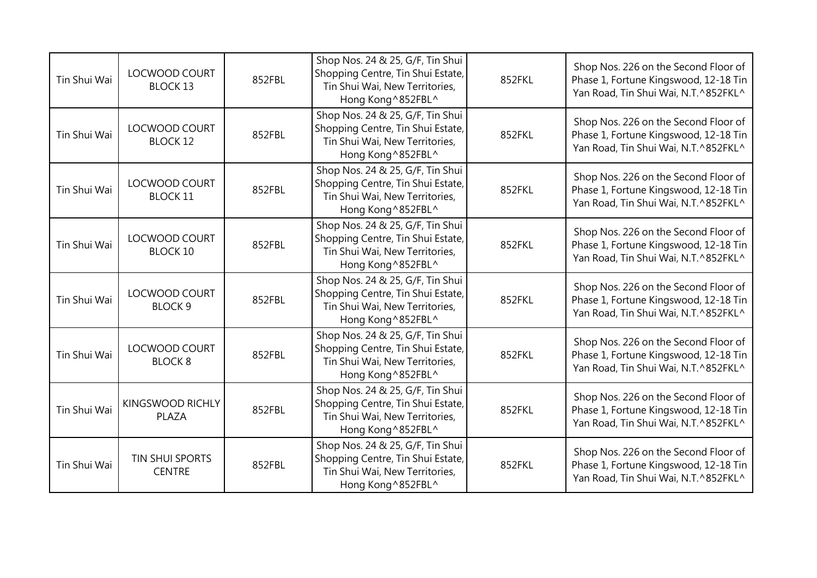| Tin Shui Wai | LOCWOOD COURT<br><b>BLOCK 13</b>        | 852FBL | Shop Nos. 24 & 25, G/F, Tin Shui<br>Shopping Centre, Tin Shui Estate,<br>Tin Shui Wai, New Territories,<br>Hong Kong ^852FBL^ | 852FKL | Shop Nos. 226 on the Second Floor of<br>Phase 1, Fortune Kingswood, 12-18 Tin<br>Yan Road, Tin Shui Wai, N.T.^852FKL^ |
|--------------|-----------------------------------------|--------|-------------------------------------------------------------------------------------------------------------------------------|--------|-----------------------------------------------------------------------------------------------------------------------|
| Tin Shui Wai | LOCWOOD COURT<br><b>BLOCK 12</b>        | 852FBL | Shop Nos. 24 & 25, G/F, Tin Shui<br>Shopping Centre, Tin Shui Estate,<br>Tin Shui Wai, New Territories,<br>Hong Kong ^852FBL^ | 852FKL | Shop Nos. 226 on the Second Floor of<br>Phase 1, Fortune Kingswood, 12-18 Tin<br>Yan Road, Tin Shui Wai, N.T.^852FKL^ |
| Tin Shui Wai | LOCWOOD COURT<br><b>BLOCK 11</b>        | 852FBL | Shop Nos. 24 & 25, G/F, Tin Shui<br>Shopping Centre, Tin Shui Estate,<br>Tin Shui Wai, New Territories,<br>Hong Kong ^852FBL^ | 852FKL | Shop Nos. 226 on the Second Floor of<br>Phase 1, Fortune Kingswood, 12-18 Tin<br>Yan Road, Tin Shui Wai, N.T.^852FKL^ |
| Tin Shui Wai | <b>LOCWOOD COURT</b><br><b>BLOCK 10</b> | 852FBL | Shop Nos. 24 & 25, G/F, Tin Shui<br>Shopping Centre, Tin Shui Estate,<br>Tin Shui Wai, New Territories,<br>Hong Kong ^852FBL^ | 852FKL | Shop Nos. 226 on the Second Floor of<br>Phase 1, Fortune Kingswood, 12-18 Tin<br>Yan Road, Tin Shui Wai, N.T.^852FKL^ |
| Tin Shui Wai | <b>LOCWOOD COURT</b><br><b>BLOCK 9</b>  | 852FBL | Shop Nos. 24 & 25, G/F, Tin Shui<br>Shopping Centre, Tin Shui Estate,<br>Tin Shui Wai, New Territories,<br>Hong Kong ^852FBL^ | 852FKL | Shop Nos. 226 on the Second Floor of<br>Phase 1, Fortune Kingswood, 12-18 Tin<br>Yan Road, Tin Shui Wai, N.T.^852FKL^ |
| Tin Shui Wai | <b>LOCWOOD COURT</b><br><b>BLOCK 8</b>  | 852FBL | Shop Nos. 24 & 25, G/F, Tin Shui<br>Shopping Centre, Tin Shui Estate,<br>Tin Shui Wai, New Territories,<br>Hong Kong ^852FBL^ | 852FKL | Shop Nos. 226 on the Second Floor of<br>Phase 1, Fortune Kingswood, 12-18 Tin<br>Yan Road, Tin Shui Wai, N.T.^852FKL^ |
| Tin Shui Wai | KINGSWOOD RICHLY<br>PLAZA               | 852FBL | Shop Nos. 24 & 25, G/F, Tin Shui<br>Shopping Centre, Tin Shui Estate,<br>Tin Shui Wai, New Territories,<br>Hong Kong ^852FBL^ | 852FKL | Shop Nos. 226 on the Second Floor of<br>Phase 1, Fortune Kingswood, 12-18 Tin<br>Yan Road, Tin Shui Wai, N.T.^852FKL^ |
| Tin Shui Wai | <b>TIN SHUI SPORTS</b><br><b>CENTRE</b> | 852FBL | Shop Nos. 24 & 25, G/F, Tin Shui<br>Shopping Centre, Tin Shui Estate,<br>Tin Shui Wai, New Territories,<br>Hong Kong ^852FBL^ | 852FKL | Shop Nos. 226 on the Second Floor of<br>Phase 1, Fortune Kingswood, 12-18 Tin<br>Yan Road, Tin Shui Wai, N.T.^852FKL^ |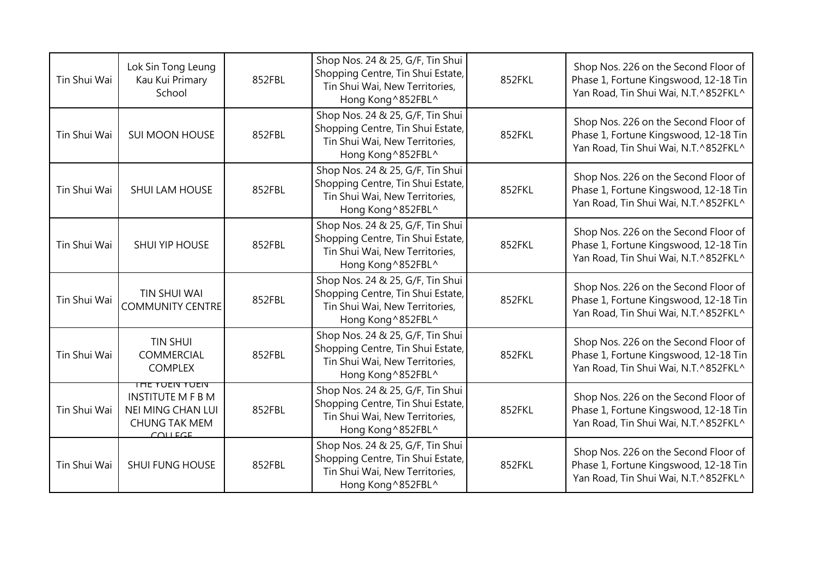| Tin Shui Wai | Lok Sin Tong Leung<br>Kau Kui Primary<br>School                                                                      | 852FBL | Shop Nos. 24 & 25, G/F, Tin Shui<br>Shopping Centre, Tin Shui Estate,<br>Tin Shui Wai, New Territories,<br>Hong Kong ^852FBL^ | 852FKL | Shop Nos. 226 on the Second Floor of<br>Phase 1, Fortune Kingswood, 12-18 Tin<br>Yan Road, Tin Shui Wai, N.T.^852FKL^ |
|--------------|----------------------------------------------------------------------------------------------------------------------|--------|-------------------------------------------------------------------------------------------------------------------------------|--------|-----------------------------------------------------------------------------------------------------------------------|
| Tin Shui Wai | <b>SUI MOON HOUSE</b>                                                                                                | 852FBL | Shop Nos. 24 & 25, G/F, Tin Shui<br>Shopping Centre, Tin Shui Estate,<br>Tin Shui Wai, New Territories,<br>Hong Kong ^852FBL^ | 852FKL | Shop Nos. 226 on the Second Floor of<br>Phase 1, Fortune Kingswood, 12-18 Tin<br>Yan Road, Tin Shui Wai, N.T.^852FKL^ |
| Tin Shui Wai | <b>SHUI LAM HOUSE</b>                                                                                                | 852FBL | Shop Nos. 24 & 25, G/F, Tin Shui<br>Shopping Centre, Tin Shui Estate,<br>Tin Shui Wai, New Territories,<br>Hong Kong ^852FBL^ | 852FKL | Shop Nos. 226 on the Second Floor of<br>Phase 1, Fortune Kingswood, 12-18 Tin<br>Yan Road, Tin Shui Wai, N.T.^852FKL^ |
| Tin Shui Wai | SHUI YIP HOUSE                                                                                                       | 852FBL | Shop Nos. 24 & 25, G/F, Tin Shui<br>Shopping Centre, Tin Shui Estate,<br>Tin Shui Wai, New Territories,<br>Hong Kong ^852FBL^ | 852FKL | Shop Nos. 226 on the Second Floor of<br>Phase 1, Fortune Kingswood, 12-18 Tin<br>Yan Road, Tin Shui Wai, N.T.^852FKL^ |
| Tin Shui Wai | <b>TIN SHUI WAI</b><br><b>COMMUNITY CENTRE</b>                                                                       | 852FBL | Shop Nos. 24 & 25, G/F, Tin Shui<br>Shopping Centre, Tin Shui Estate,<br>Tin Shui Wai, New Territories,<br>Hong Kong ^852FBL^ | 852FKL | Shop Nos. 226 on the Second Floor of<br>Phase 1, Fortune Kingswood, 12-18 Tin<br>Yan Road, Tin Shui Wai, N.T.^852FKL^ |
| Tin Shui Wai | <b>TIN SHUI</b><br>COMMERCIAL<br><b>COMPLEX</b>                                                                      | 852FBL | Shop Nos. 24 & 25, G/F, Tin Shui<br>Shopping Centre, Tin Shui Estate,<br>Tin Shui Wai, New Territories,<br>Hong Kong ^852FBL^ | 852FKL | Shop Nos. 226 on the Second Floor of<br>Phase 1, Fortune Kingswood, 12-18 Tin<br>Yan Road, Tin Shui Wai, N.T.^852FKL^ |
| Tin Shui Wai | <b>THE YUEIN YUEIN</b><br><b>INSTITUTE M F B M</b><br><b>NEI MING CHAN LUI</b><br><b>CHUNG TAK MEM</b><br>$C$ OLLEGE | 852FBL | Shop Nos. 24 & 25, G/F, Tin Shui<br>Shopping Centre, Tin Shui Estate,<br>Tin Shui Wai, New Territories,<br>Hong Kong ^852FBL^ | 852FKL | Shop Nos. 226 on the Second Floor of<br>Phase 1, Fortune Kingswood, 12-18 Tin<br>Yan Road, Tin Shui Wai, N.T.^852FKL^ |
| Tin Shui Wai | <b>SHUI FUNG HOUSE</b>                                                                                               | 852FBL | Shop Nos. 24 & 25, G/F, Tin Shui<br>Shopping Centre, Tin Shui Estate,<br>Tin Shui Wai, New Territories,<br>Hong Kong ^852FBL^ | 852FKL | Shop Nos. 226 on the Second Floor of<br>Phase 1, Fortune Kingswood, 12-18 Tin<br>Yan Road, Tin Shui Wai, N.T.^852FKL^ |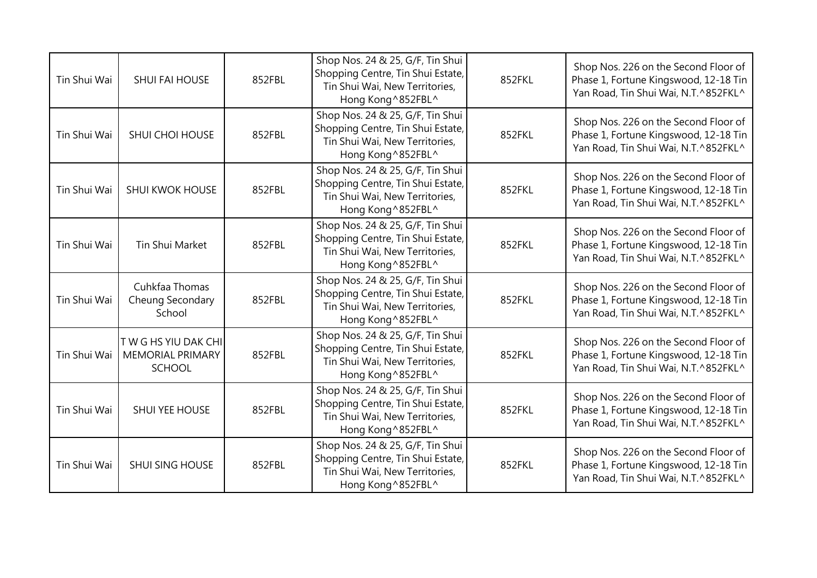| Tin Shui Wai | <b>SHUI FAI HOUSE</b>                                          | 852FBL | Shop Nos. 24 & 25, G/F, Tin Shui<br>Shopping Centre, Tin Shui Estate,<br>Tin Shui Wai, New Territories,<br>Hong Kong ^852FBL^ | 852FKL | Shop Nos. 226 on the Second Floor of<br>Phase 1, Fortune Kingswood, 12-18 Tin<br>Yan Road, Tin Shui Wai, N.T.^852FKL^ |
|--------------|----------------------------------------------------------------|--------|-------------------------------------------------------------------------------------------------------------------------------|--------|-----------------------------------------------------------------------------------------------------------------------|
| Tin Shui Wai | SHUI CHOI HOUSE                                                | 852FBL | Shop Nos. 24 & 25, G/F, Tin Shui<br>Shopping Centre, Tin Shui Estate,<br>Tin Shui Wai, New Territories,<br>Hong Kong ^852FBL^ | 852FKL | Shop Nos. 226 on the Second Floor of<br>Phase 1, Fortune Kingswood, 12-18 Tin<br>Yan Road, Tin Shui Wai, N.T.^852FKL^ |
| Tin Shui Wai | SHUI KWOK HOUSE                                                | 852FBL | Shop Nos. 24 & 25, G/F, Tin Shui<br>Shopping Centre, Tin Shui Estate,<br>Tin Shui Wai, New Territories,<br>Hong Kong ^852FBL^ | 852FKL | Shop Nos. 226 on the Second Floor of<br>Phase 1, Fortune Kingswood, 12-18 Tin<br>Yan Road, Tin Shui Wai, N.T.^852FKL^ |
| Tin Shui Wai | Tin Shui Market                                                | 852FBL | Shop Nos. 24 & 25, G/F, Tin Shui<br>Shopping Centre, Tin Shui Estate,<br>Tin Shui Wai, New Territories,<br>Hong Kong ^852FBL^ | 852FKL | Shop Nos. 226 on the Second Floor of<br>Phase 1, Fortune Kingswood, 12-18 Tin<br>Yan Road, Tin Shui Wai, N.T.^852FKL^ |
| Tin Shui Wai | Cuhkfaa Thomas<br>Cheung Secondary<br>School                   | 852FBL | Shop Nos. 24 & 25, G/F, Tin Shui<br>Shopping Centre, Tin Shui Estate,<br>Tin Shui Wai, New Territories,<br>Hong Kong ^852FBL^ | 852FKL | Shop Nos. 226 on the Second Floor of<br>Phase 1, Fortune Kingswood, 12-18 Tin<br>Yan Road, Tin Shui Wai, N.T.^852FKL^ |
| Tin Shui Wai | TWG HS YIU DAK CHI<br><b>MEMORIAL PRIMARY</b><br><b>SCHOOL</b> | 852FBL | Shop Nos. 24 & 25, G/F, Tin Shui<br>Shopping Centre, Tin Shui Estate,<br>Tin Shui Wai, New Territories,<br>Hong Kong ^852FBL^ | 852FKL | Shop Nos. 226 on the Second Floor of<br>Phase 1, Fortune Kingswood, 12-18 Tin<br>Yan Road, Tin Shui Wai, N.T.^852FKL^ |
| Tin Shui Wai | SHUI YEE HOUSE                                                 | 852FBL | Shop Nos. 24 & 25, G/F, Tin Shui<br>Shopping Centre, Tin Shui Estate,<br>Tin Shui Wai, New Territories,<br>Hong Kong ^852FBL^ | 852FKL | Shop Nos. 226 on the Second Floor of<br>Phase 1, Fortune Kingswood, 12-18 Tin<br>Yan Road, Tin Shui Wai, N.T.^852FKL^ |
| Tin Shui Wai | SHUI SING HOUSE                                                | 852FBL | Shop Nos. 24 & 25, G/F, Tin Shui<br>Shopping Centre, Tin Shui Estate,<br>Tin Shui Wai, New Territories,<br>Hong Kong ^852FBL^ | 852FKL | Shop Nos. 226 on the Second Floor of<br>Phase 1, Fortune Kingswood, 12-18 Tin<br>Yan Road, Tin Shui Wai, N.T.^852FKL^ |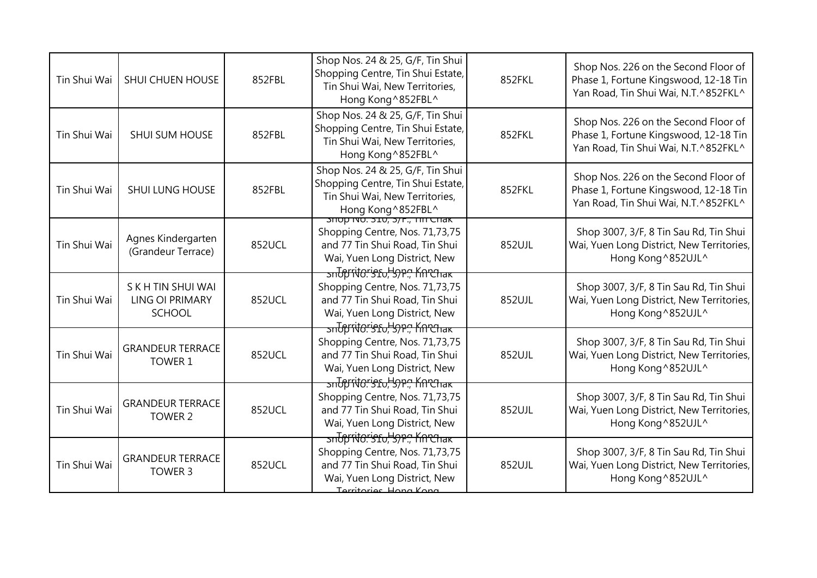| Tin Shui Wai | <b>SHUI CHUEN HOUSE</b>                                       | 852FBL | Shop Nos. 24 & 25, G/F, Tin Shui<br>Shopping Centre, Tin Shui Estate,<br>Tin Shui Wai, New Territories,<br>Hong Kong ^852FBL^                                 | 852FKL | Shop Nos. 226 on the Second Floor of<br>Phase 1, Fortune Kingswood, 12-18 Tin<br>Yan Road, Tin Shui Wai, N.T.^852FKL^ |
|--------------|---------------------------------------------------------------|--------|---------------------------------------------------------------------------------------------------------------------------------------------------------------|--------|-----------------------------------------------------------------------------------------------------------------------|
| Tin Shui Wai | <b>SHUI SUM HOUSE</b>                                         | 852FBL | Shop Nos. 24 & 25, G/F, Tin Shui<br>Shopping Centre, Tin Shui Estate,<br>Tin Shui Wai, New Territories,<br>Hong Kong ^852FBL^                                 | 852FKL | Shop Nos. 226 on the Second Floor of<br>Phase 1, Fortune Kingswood, 12-18 Tin<br>Yan Road, Tin Shui Wai, N.T.^852FKL^ |
| Tin Shui Wai | <b>SHUI LUNG HOUSE</b>                                        | 852FBL | Shop Nos. 24 & 25, G/F, Tin Shui<br>Shopping Centre, Tin Shui Estate,<br>Tin Shui Wai, New Territories,<br>Hong Kong ^852FBL ^<br>SHOP NO. 310, 3/F., TILCHAK | 852FKL | Shop Nos. 226 on the Second Floor of<br>Phase 1, Fortune Kingswood, 12-18 Tin<br>Yan Road, Tin Shui Wai, N.T.^852FKL^ |
| Tin Shui Wai | Agnes Kindergarten<br>(Grandeur Terrace)                      | 852UCL | Shopping Centre, Nos. 71,73,75<br>and 77 Tin Shui Road, Tin Shui<br>Wai, Yuen Long District, New                                                              | 852UJL | Shop 3007, 3/F, 8 Tin Sau Rd, Tin Shui<br>Wai, Yuen Long District, New Territories,<br>Hong Kong ^852UJL^             |
| Tin Shui Wai | S K H TIN SHUI WAI<br><b>LING OI PRIMARY</b><br><b>SCHOOL</b> | 852UCL | snopritoristo, 39P., Knehak<br>Shopping Centre, Nos. 71,73,75<br>and 77 Tin Shui Road, Tin Shui<br>Wai, Yuen Long District, New                               | 852UJL | Shop 3007, 3/F, 8 Tin Sau Rd, Tin Shui<br>Wai, Yuen Long District, New Territories,<br>Hong Kong ^852UJL^             |
| Tin Shui Wai | <b>GRANDEUR TERRACE</b><br>TOWER 1                            | 852UCL | snbpritoristo, Hope Knrchak<br>Shopping Centre, Nos. 71,73,75<br>and 77 Tin Shui Road, Tin Shui<br>Wai, Yuen Long District, New                               | 852UJL | Shop 3007, 3/F, 8 Tin Sau Rd, Tin Shui<br>Wai, Yuen Long District, New Territories,<br>Hong Kong ^852UJL^             |
| Tin Shui Wai | <b>GRANDEUR TERRACE</b><br>TOWER 2                            | 852UCL | sntpritoristo, 59P., Knehak<br>Shopping Centre, Nos. 71,73,75<br>and 77 Tin Shui Road, Tin Shui<br>Wai, Yuen Long District, New                               | 852UJL | Shop 3007, 3/F, 8 Tin Sau Rd, Tin Shui<br>Wai, Yuen Long District, New Territories,<br>Hong Kong ^852UJL^             |
| Tin Shui Wai | <b>GRANDEUR TERRACE</b><br>TOWER 3                            | 852UCL | sndpritoristo, 37P., Knehak<br>Shopping Centre, Nos. 71,73,75<br>and 77 Tin Shui Road, Tin Shui<br>Wai, Yuen Long District, New<br>Territories Hong Kong      | 852UJL | Shop 3007, 3/F, 8 Tin Sau Rd, Tin Shui<br>Wai, Yuen Long District, New Territories,<br>Hong Kong ^852UJL^             |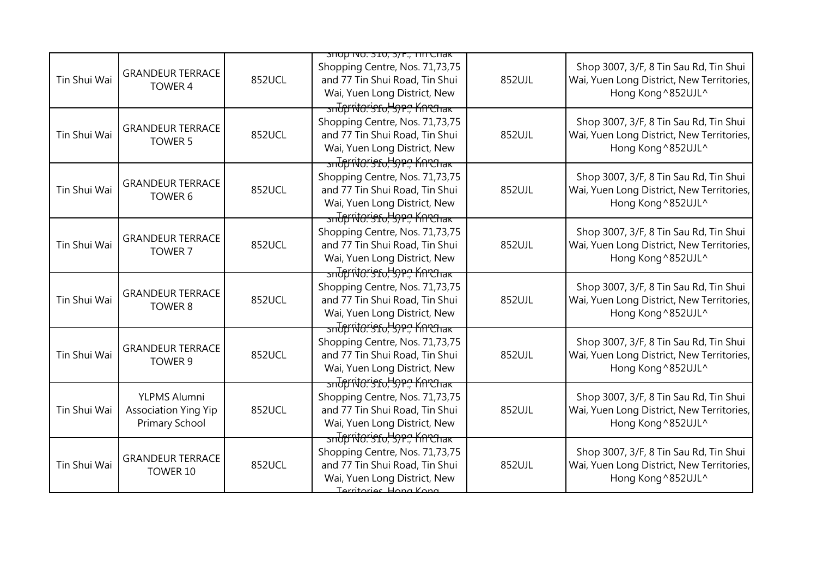|              |                                                               |               | <b>SHOP INO. 310, 3/F., TILL CHAK</b>                                                                                                                                        |        |                                                                                                           |
|--------------|---------------------------------------------------------------|---------------|------------------------------------------------------------------------------------------------------------------------------------------------------------------------------|--------|-----------------------------------------------------------------------------------------------------------|
| Tin Shui Wai | <b>GRANDEUR TERRACE</b><br>TOWER 4                            | 852UCL        | Shopping Centre, Nos. 71,73,75<br>and 77 Tin Shui Road, Tin Shui<br>Wai, Yuen Long District, New                                                                             | 852UJL | Shop 3007, 3/F, 8 Tin Sau Rd, Tin Shui<br>Wai, Yuen Long District, New Territories,<br>Hong Kong ^852UJL^ |
| Tin Shui Wai | <b>GRANDEUR TERRACE</b><br><b>TOWER 5</b>                     | <b>852UCL</b> | <del>sndprito.'sfo,'syp.,' Kn'Chak</del><br>Shopping Centre, Nos. 71,73,75<br>and 77 Tin Shui Road, Tin Shui<br>Wai, Yuen Long District, New<br>sntpritoristo, Hope, Knrenak | 852UJL | Shop 3007, 3/F, 8 Tin Sau Rd, Tin Shui<br>Wai, Yuen Long District, New Territories,<br>Hong Kong ^852UJL^ |
| Tin Shui Wai | <b>GRANDEUR TERRACE</b><br>TOWER 6                            | 852UCL        | Shopping Centre, Nos. 71,73,75<br>and 77 Tin Shui Road, Tin Shui<br>Wai, Yuen Long District, New<br>sntpritoristo, 37P., Knehak                                              | 852UJL | Shop 3007, 3/F, 8 Tin Sau Rd, Tin Shui<br>Wai, Yuen Long District, New Territories,<br>Hong Kong ^852UJL^ |
| Tin Shui Wai | <b>GRANDEUR TERRACE</b><br>TOWER 7                            | 852UCL        | Shopping Centre, Nos. 71,73,75<br>and 77 Tin Shui Road, Tin Shui<br>Wai, Yuen Long District, New<br><u>ਤਜਹਿੰਸਿੰਚਿਨਾਂਤਿ ਇਸ ਦੇ ਸਿੰਦਿੰਜਿਕ ਵਿੱਚ ਸਿੰਘ ਸ</u>                       | 852UJL | Shop 3007, 3/F, 8 Tin Sau Rd, Tin Shui<br>Wai, Yuen Long District, New Territories,<br>Hong Kong ^852UJL^ |
| Tin Shui Wai | <b>GRANDEUR TERRACE</b><br>TOWER 8                            | 852UCL        | Shopping Centre, Nos. 71,73,75<br>and 77 Tin Shui Road, Tin Shui<br>Wai, Yuen Long District, New                                                                             | 852UJL | Shop 3007, 3/F, 8 Tin Sau Rd, Tin Shui<br>Wai, Yuen Long District, New Territories,<br>Hong Kong ^852UJL^ |
| Tin Shui Wai | <b>GRANDEUR TERRACE</b><br>TOWER 9                            | 852UCL        | sndpritoristo, 57P., Knehak<br>Shopping Centre, Nos. 71,73,75<br>and 77 Tin Shui Road, Tin Shui<br>Wai, Yuen Long District, New<br>sndpritoristo, 57P., Knehak               | 852UJL | Shop 3007, 3/F, 8 Tin Sau Rd, Tin Shui<br>Wai, Yuen Long District, New Territories,<br>Hong Kong ^852UJL^ |
| Tin Shui Wai | YLPMS Alumni<br><b>Association Ying Yip</b><br>Primary School | 852UCL        | Shopping Centre, Nos. 71,73,75<br>and 77 Tin Shui Road, Tin Shui<br>Wai, Yuen Long District, New<br>snopritoristo, 37P., Knehak                                              | 852UJL | Shop 3007, 3/F, 8 Tin Sau Rd, Tin Shui<br>Wai, Yuen Long District, New Territories,<br>Hong Kong ^852UJL^ |
| Tin Shui Wai | <b>GRANDEUR TERRACE</b><br>TOWER 10                           | 852UCL        | Shopping Centre, Nos. 71,73,75<br>and 77 Tin Shui Road, Tin Shui<br>Wai, Yuen Long District, New<br>Territories Hong Kong                                                    | 852UJL | Shop 3007, 3/F, 8 Tin Sau Rd, Tin Shui<br>Wai, Yuen Long District, New Territories,<br>Hong Kong ^852UJL^ |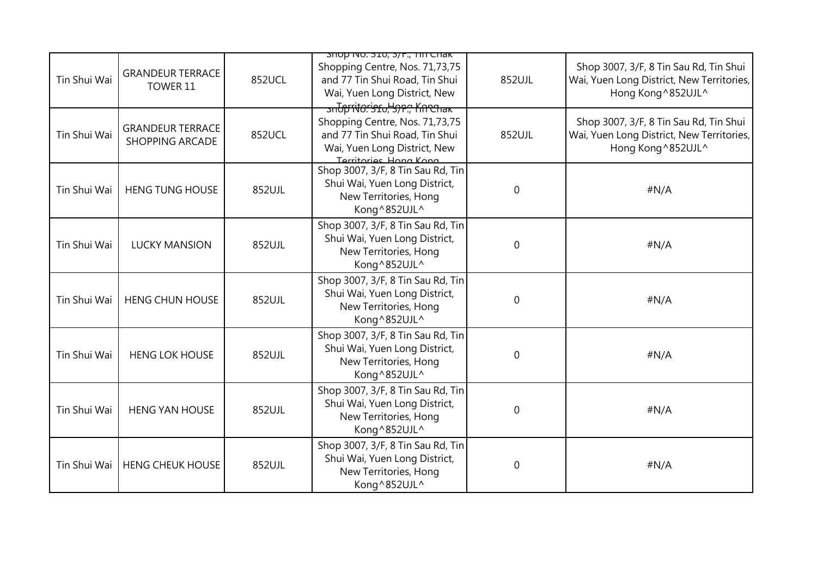|              |                                                   |        | <b>SHOP INO. 310, 3/F., TILL CHAK</b>                                                                                                            |             |                                                                                                           |
|--------------|---------------------------------------------------|--------|--------------------------------------------------------------------------------------------------------------------------------------------------|-------------|-----------------------------------------------------------------------------------------------------------|
| Tin Shui Wai | <b>GRANDEUR TERRACE</b><br>TOWER 11               | 852UCL | Shopping Centre, Nos. 71,73,75<br>and 77 Tin Shui Road, Tin Shui<br>Wai, Yuen Long District, New<br><u>ਤਜਹਿੱਸਿੱਚੀ ਦਿਨ ਇਹ ਇਹ ਸਾਰੀ ਹੋ ਜਿਸਦੀ ਹਾ</u> | 852UJL      | Shop 3007, 3/F, 8 Tin Sau Rd, Tin Shui<br>Wai, Yuen Long District, New Territories,<br>Hong Kong ^852UJL^ |
| Tin Shui Wai | <b>GRANDEUR TERRACE</b><br><b>SHOPPING ARCADE</b> | 852UCL | Shopping Centre, Nos. 71,73,75<br>and 77 Tin Shui Road, Tin Shui<br>Wai, Yuen Long District, New<br>Territories Hong Kong                        | 852UJL      | Shop 3007, 3/F, 8 Tin Sau Rd, Tin Shui<br>Wai, Yuen Long District, New Territories,<br>Hong Kong ^852UJL^ |
| Tin Shui Wai | <b>HENG TUNG HOUSE</b>                            | 852UJL | Shop 3007, 3/F, 8 Tin Sau Rd, Tin<br>Shui Wai, Yuen Long District,<br>New Territories, Hong<br>Kong^852UJL^                                      | 0           | #N/A                                                                                                      |
| Tin Shui Wai | <b>LUCKY MANSION</b>                              | 852UJL | Shop 3007, 3/F, 8 Tin Sau Rd, Tin<br>Shui Wai, Yuen Long District,<br>New Territories, Hong<br>Kong^852UJL^                                      | $\mathbf 0$ | #N/A                                                                                                      |
| Tin Shui Wai | <b>HENG CHUN HOUSE</b>                            | 852UJL | Shop 3007, 3/F, 8 Tin Sau Rd, Tin<br>Shui Wai, Yuen Long District,<br>New Territories, Hong<br>Kong^852UJL^                                      | 0           | #N/A                                                                                                      |
| Tin Shui Wai | <b>HENG LOK HOUSE</b>                             | 852UJL | Shop 3007, 3/F, 8 Tin Sau Rd, Tin<br>Shui Wai, Yuen Long District,<br>New Territories, Hong<br>Kong^852UJL^                                      | 0           | #N/A                                                                                                      |
| Tin Shui Wai | <b>HENG YAN HOUSE</b>                             | 852UJL | Shop 3007, 3/F, 8 Tin Sau Rd, Tin<br>Shui Wai, Yuen Long District,<br>New Territories, Hong<br>Kong^852UJL^                                      | 0           | #N/A                                                                                                      |
| Tin Shui Wai | <b>HENG CHEUK HOUSE</b>                           | 852UJL | Shop 3007, 3/F, 8 Tin Sau Rd, Tin<br>Shui Wai, Yuen Long District,<br>New Territories, Hong<br>Kong^852UJL^                                      | 0           | #N/A                                                                                                      |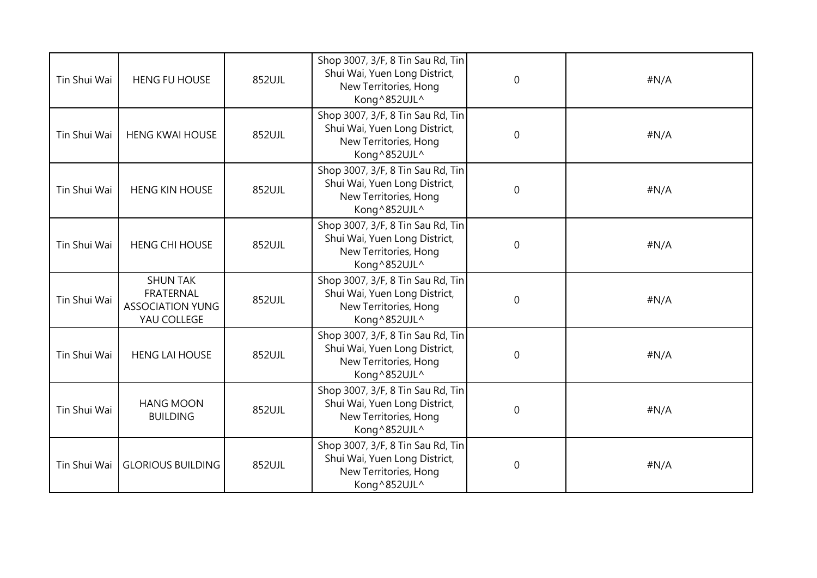| Tin Shui Wai | <b>HENG FU HOUSE</b>                                                   | 852UJL | Shop 3007, 3/F, 8 Tin Sau Rd, Tin<br>Shui Wai, Yuen Long District,<br>New Territories, Hong<br>Kong^852UJL^ | $\mathbf 0$ | #N/A |
|--------------|------------------------------------------------------------------------|--------|-------------------------------------------------------------------------------------------------------------|-------------|------|
| Tin Shui Wai | <b>HENG KWAI HOUSE</b>                                                 | 852UJL | Shop 3007, 3/F, 8 Tin Sau Rd, Tin<br>Shui Wai, Yuen Long District,<br>New Territories, Hong<br>Kong^852UJL^ | $\Omega$    | #N/A |
| Tin Shui Wai | <b>HENG KIN HOUSE</b>                                                  | 852UJL | Shop 3007, 3/F, 8 Tin Sau Rd, Tin<br>Shui Wai, Yuen Long District,<br>New Territories, Hong<br>Kong^852UJL^ | $\mathbf 0$ | #N/A |
| Tin Shui Wai | <b>HENG CHI HOUSE</b>                                                  | 852UJL | Shop 3007, 3/F, 8 Tin Sau Rd, Tin<br>Shui Wai, Yuen Long District,<br>New Territories, Hong<br>Kong^852UJL^ | $\mathbf 0$ | #N/A |
| Tin Shui Wai | <b>SHUN TAK</b><br>FRATERNAL<br><b>ASSOCIATION YUNG</b><br>YAU COLLEGE | 852UJL | Shop 3007, 3/F, 8 Tin Sau Rd, Tin<br>Shui Wai, Yuen Long District,<br>New Territories, Hong<br>Kong^852UJL^ | $\Omega$    | #N/A |
| Tin Shui Wai | <b>HENG LAI HOUSE</b>                                                  | 852UJL | Shop 3007, 3/F, 8 Tin Sau Rd, Tin<br>Shui Wai, Yuen Long District,<br>New Territories, Hong<br>Kong^852UJL^ | $\mathbf 0$ | #N/A |
| Tin Shui Wai | <b>HANG MOON</b><br><b>BUILDING</b>                                    | 852UJL | Shop 3007, 3/F, 8 Tin Sau Rd, Tin<br>Shui Wai, Yuen Long District,<br>New Territories, Hong<br>Kong^852UJL^ | $\mathbf 0$ | #N/A |
| Tin Shui Wai | <b>GLORIOUS BUILDING</b>                                               | 852UJL | Shop 3007, 3/F, 8 Tin Sau Rd, Tin<br>Shui Wai, Yuen Long District,<br>New Territories, Hong<br>Kong^852UJL^ | $\mathbf 0$ | #N/A |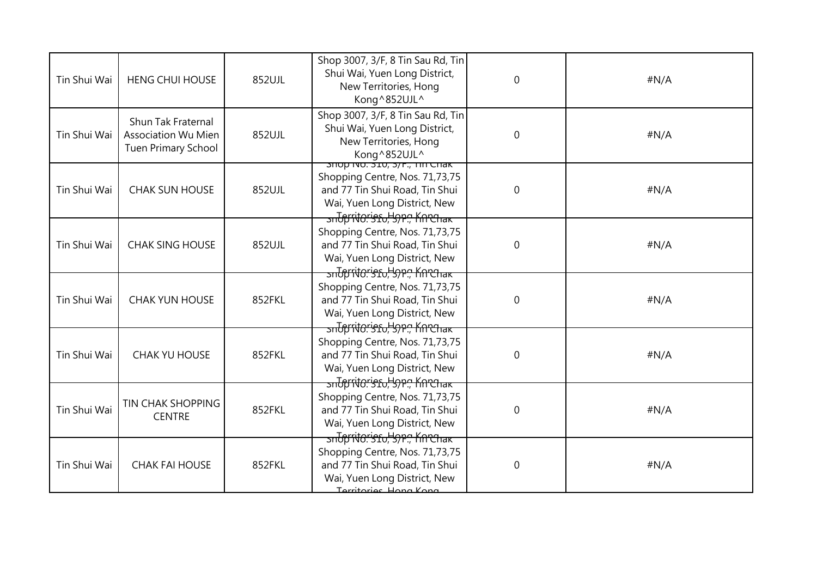| Tin Shui Wai | <b>HENG CHUI HOUSE</b>                                                         | 852UJL | Shop 3007, 3/F, 8 Tin Sau Rd, Tin<br>Shui Wai, Yuen Long District,<br>New Territories, Hong<br>Kong^852UJL^                                                                | $\mathbf 0$      | #N/A |
|--------------|--------------------------------------------------------------------------------|--------|----------------------------------------------------------------------------------------------------------------------------------------------------------------------------|------------------|------|
| Tin Shui Wai | Shun Tak Fraternal<br><b>Association Wu Mien</b><br><b>Tuen Primary School</b> | 852UJL | Shop 3007, 3/F, 8 Tin Sau Rd, Tin<br>Shui Wai, Yuen Long District,<br>New Territories, Hong<br>Kong^852UJL^                                                                | $\mathbf 0$      | #N/A |
| Tin Shui Wai | <b>CHAK SUN HOUSE</b>                                                          | 852UJL | <u> אורט חוז , אל, סער לא היי סטורכ</u><br>Shopping Centre, Nos. 71,73,75<br>and 77 Tin Shui Road, Tin Shui<br>Wai, Yuen Long District, New<br>sntpritoristo, 37P., Knehak | $\mathbf 0$      | #N/A |
| Tin Shui Wai | <b>CHAK SING HOUSE</b>                                                         | 852UJL | Shopping Centre, Nos. 71,73,75<br>and 77 Tin Shui Road, Tin Shui<br>Wai, Yuen Long District, New<br><u>ਤਜਰਿ ਸਿੱਚ: ਤਿਹਾ, ਤਿਸਾਨ ਸਿੰਦਰਸ਼ਿਕਸ</u>                               | $\mathbf 0$      | #N/A |
| Tin Shui Wai | <b>CHAK YUN HOUSE</b>                                                          | 852FKL | Shopping Centre, Nos. 71,73,75<br>and 77 Tin Shui Road, Tin Shui<br>Wai, Yuen Long District, New<br><u>ਤਜਰਿੱਸਿੱਚਿ:'ਤੰਬਰ, ਤਿਸਾਰ ਮਿੰਗਰੇਜਨ </u>                               | $\boldsymbol{0}$ | #N/A |
| Tin Shui Wai | <b>CHAK YU HOUSE</b>                                                           | 852FKL | Shopping Centre, Nos. 71,73,75<br>and 77 Tin Shui Road, Tin Shui<br>Wai, Yuen Long District, New<br>sndpritoristo, 59P., Knrchak                                           | $\mathbf 0$      | #N/A |
| Tin Shui Wai | TIN CHAK SHOPPING<br><b>CENTRE</b>                                             | 852FKL | Shopping Centre, Nos. 71,73,75<br>and 77 Tin Shui Road, Tin Shui<br>Wai, Yuen Long District, New<br>sndpritoristo, 57P., Knehak                                            | $\boldsymbol{0}$ | #N/A |
| Tin Shui Wai | <b>CHAK FAI HOUSE</b>                                                          | 852FKL | Shopping Centre, Nos. 71,73,75<br>and 77 Tin Shui Road, Tin Shui<br>Wai, Yuen Long District, New<br>Territories Hong Kong                                                  | $\boldsymbol{0}$ | #N/A |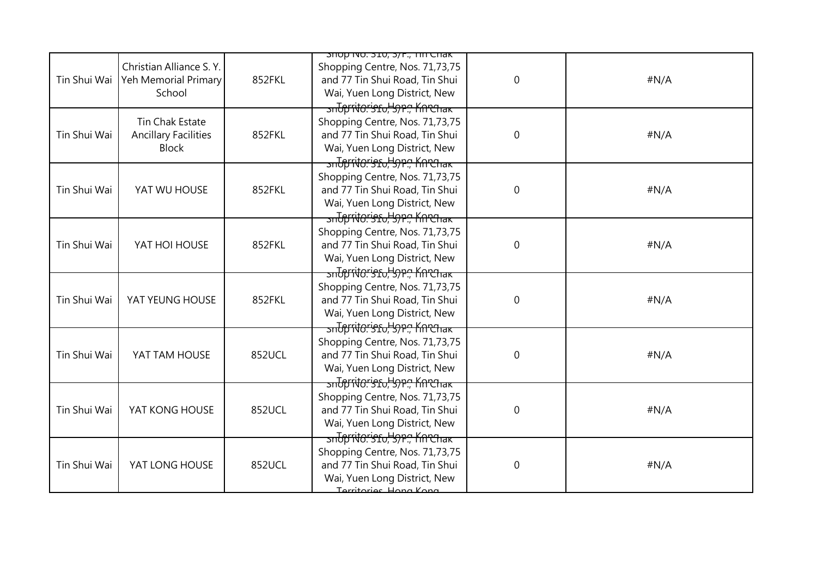|              |                                                                |        | <b>SHOP INO. 310, 3/F., THI CHAK</b>                                                                                                                                        |             |      |
|--------------|----------------------------------------------------------------|--------|-----------------------------------------------------------------------------------------------------------------------------------------------------------------------------|-------------|------|
| Tin Shui Wai | Christian Alliance S.Y.<br>Yeh Memorial Primary<br>School      | 852FKL | Shopping Centre, Nos. 71,73,75<br>and 77 Tin Shui Road, Tin Shui<br>Wai, Yuen Long District, New                                                                            | $\mathbf 0$ | #N/A |
| Tin Shui Wai | Tin Chak Estate<br><b>Ancillary Facilities</b><br><b>Block</b> | 852FKL | <del>sndpritoristo, Sper, Knrenak</del><br>Shopping Centre, Nos. 71,73,75<br>and 77 Tin Shui Road, Tin Shui<br>Wai, Yuen Long District, New<br>sntpritoristo, Sper, Knechak | $\mathbf 0$ | #N/A |
| Tin Shui Wai | YAT WU HOUSE                                                   | 852FKL | Shopping Centre, Nos. 71,73,75<br>and 77 Tin Shui Road, Tin Shui<br>Wai, Yuen Long District, New<br>snopritoristo, 37P., Knehak                                             | $\mathbf 0$ | #N/A |
| Tin Shui Wai | YAT HOI HOUSE                                                  | 852FKL | Shopping Centre, Nos. 71,73,75<br>and 77 Tin Shui Road, Tin Shui<br>Wai, Yuen Long District, New<br><mark>ਤਜਰਿੰਸਿੱਚੀ: ਤਿਹਾ, ਤਿਸਾ, ਸਿਲਾਜਿਗ</mark>                            | $\mathbf 0$ | #N/A |
| Tin Shui Wai | YAT YEUNG HOUSE                                                | 852FKL | Shopping Centre, Nos. 71,73,75<br>and 77 Tin Shui Road, Tin Shui<br>Wai, Yuen Long District, New<br>snopritoristo, 57P., Knrchak                                            | 0           | #N/A |
| Tin Shui Wai | YAT TAM HOUSE                                                  | 852UCL | Shopping Centre, Nos. 71,73,75<br>and 77 Tin Shui Road, Tin Shui<br>Wai, Yuen Long District, New<br>sndpritoristo, 59P., Knrchak                                            | $\mathbf 0$ | #N/A |
| Tin Shui Wai | YAT KONG HOUSE                                                 | 852UCL | Shopping Centre, Nos. 71,73,75<br>and 77 Tin Shui Road, Tin Shui<br>Wai, Yuen Long District, New<br>sntpritoristo, 37P., Knehak                                             | $\mathbf 0$ | #N/A |
| Tin Shui Wai | YAT LONG HOUSE                                                 | 852UCL | Shopping Centre, Nos. 71,73,75<br>and 77 Tin Shui Road, Tin Shui<br>Wai, Yuen Long District, New<br>Territories Hong Kong                                                   | $\pmb{0}$   | #N/A |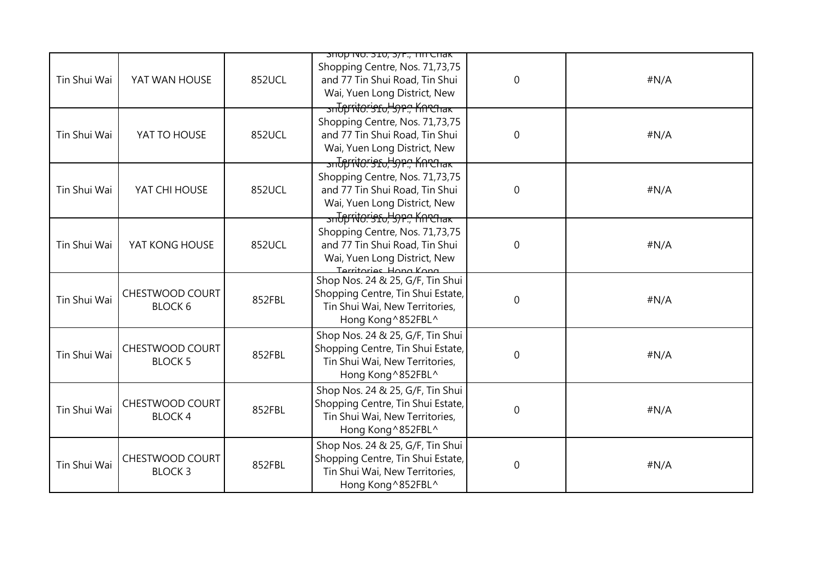|              |                                          |        | <del>אום חוד, ז</del> ל, סבר הספר שטוב                                                                                                                                                         |                |      |
|--------------|------------------------------------------|--------|------------------------------------------------------------------------------------------------------------------------------------------------------------------------------------------------|----------------|------|
| Tin Shui Wai | YAT WAN HOUSE                            | 852UCL | Shopping Centre, Nos. 71,73,75<br>and 77 Tin Shui Road, Tin Shui<br>Wai, Yuen Long District, New                                                                                               | $\mathbf 0$    | #N/A |
| Tin Shui Wai | YAT TO HOUSE                             | 852UCL | <mark>ਤਜਹਿੰਸਾਂਚਿੰਟਾਂਤ£ਹ, ਤਿ)P., Kn ਦੀ ਜ਼ਕ</mark><br>Shopping Centre, Nos. 71,73,75<br>and 77 Tin Shui Road, Tin Shui<br>Wai, Yuen Long District, New<br><del>snUprito:'s1u,'s)P., Knehak</del> | $\mathbf 0$    | #N/A |
| Tin Shui Wai | YAT CHI HOUSE                            | 852UCL | Shopping Centre, Nos. 71,73,75<br>and 77 Tin Shui Road, Tin Shui<br>Wai, Yuen Long District, New<br><u>ਤਜਹਿੰਸਿੰਚਿਨਾਂਤਿ ਇਸ ਦੇ ਸਿੰਦਿੰਜਿਕ ਸ</u>                                                   | $\mathbf 0$    | #N/A |
| Tin Shui Wai | YAT KONG HOUSE                           | 852UCL | Shopping Centre, Nos. 71,73,75<br>and 77 Tin Shui Road, Tin Shui<br>Wai, Yuen Long District, New<br>Territories Hong Kong                                                                      | $\mathbf 0$    | #N/A |
| Tin Shui Wai | <b>CHESTWOOD COURT</b><br><b>BLOCK 6</b> | 852FBL | Shop Nos. 24 & 25, G/F, Tin Shui<br>Shopping Centre, Tin Shui Estate,<br>Tin Shui Wai, New Territories,<br>Hong Kong ^852FBL^                                                                  | $\mathbf 0$    | #N/A |
| Tin Shui Wai | CHESTWOOD COURT<br><b>BLOCK 5</b>        | 852FBL | Shop Nos. 24 & 25, G/F, Tin Shui<br>Shopping Centre, Tin Shui Estate,<br>Tin Shui Wai, New Territories,<br>Hong Kong ^852FBL^                                                                  | $\mathbf 0$    | #N/A |
| Tin Shui Wai | CHESTWOOD COURT<br><b>BLOCK4</b>         | 852FBL | Shop Nos. 24 & 25, G/F, Tin Shui<br>Shopping Centre, Tin Shui Estate,<br>Tin Shui Wai, New Territories,<br>Hong Kong ^852FBL^                                                                  | $\mathbf 0$    | #N/A |
| Tin Shui Wai | CHESTWOOD COURT<br><b>BLOCK3</b>         | 852FBL | Shop Nos. 24 & 25, G/F, Tin Shui<br>Shopping Centre, Tin Shui Estate,<br>Tin Shui Wai, New Territories,<br>Hong Kong ^852FBL^                                                                  | $\overline{0}$ | #N/A |